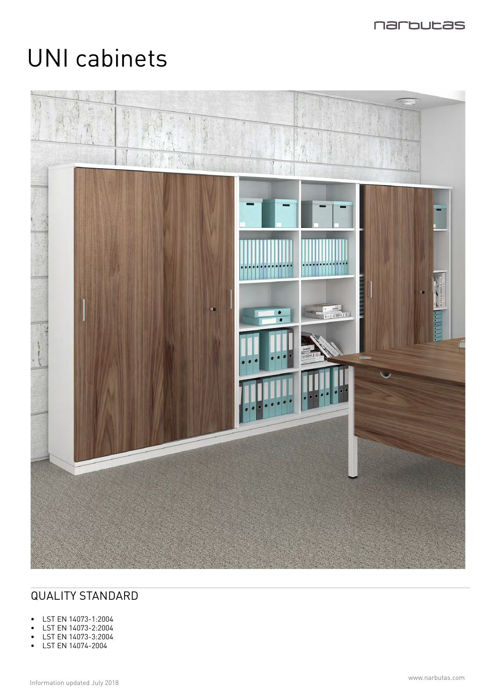

# UNI cabinets



# QUALITY STANDARD

- LST EN 14073-1:2004
- LST EN 14073-2:2004
- LST EN 14073-3:2004
- LST EN 14074-2004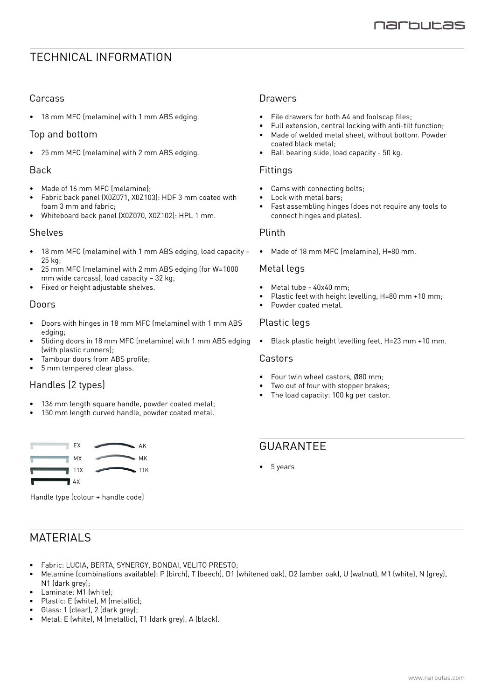## TECHNICAL INFORMATION

## Carcass

• 18 mm MFC (melamine) with 1 mm ABS edging.

## Top and bottom

• 25 mm MFC (melamine) with 2 mm ABS edging.

## Back

- Made of 16 mm MFC (melamine);
- Fabric back panel (X0Z071, X0Z103): HDF 3 mm coated with foam 3 mm and fabric;
- Whiteboard back panel (X0Z070, X0Z102): HPL 1 mm.

#### Shelves

- 18 mm MFC (melamine) with 1 mm ABS edging, load capacity 25 kg;
- 25 mm MFC (melamine) with 2 mm ABS edging (for W=1000 mm wide carcass), load capacity – 32 kg;
- Fixed or height adjustable shelves.

## Doors

- Doors with hinges in 18 mm MFC (melamine) with 1 mm ABS edging;
- Sliding doors in 18 mm MFC (melamine) with 1 mm ABS edging (with plastic runners);
- Tambour doors from ABS profile;
- 5 mm tempered clear glass.

## Handles (2 types)

- 136 mm length square handle, powder coated metal;
- 150 mm length curved handle, powder coated metal.



Handle type (colour + handle code)

## **MATERIALS**

- Fabric: LUCIA, BERTA, SYNERGY, BONDAI, VELITO PRESTO;
- Melamine (combinations available): P (birch), T (beech), D1 (whitened oak), D2 (amber oak), U (walnut), M1 (white), N (grey), N1 (dark grey);
- Laminate: M1 (white);
- Plastic: E (white), M (metallic);
- Glass: 1 (clear), 2 (dark grey);
- Metal: E (white), M (metallic), T1 (dark grey), A (black).

## **Drawers**

- File drawers for both A4 and foolscap files;
- Full extension, central locking with anti-tilt function;
- Made of welded metal sheet, without bottom. Powder coated black metal;
- Ball bearing slide, load capacity 50 kg.

### Fittings

- Cams with connecting bolts:
- Lock with metal bars;
- Fast assembling hinges (does not require any tools to connect hinges and plates).

#### Plinth

• Made of 18 mm MFC (melamine), H=80 mm.

#### Metal legs

- Metal tube 40x40 mm;
- Plastic feet with height levelling, H=80 mm +10 mm;
- Powder coated metal.

## Plastic legs

• Black plastic height levelling feet, H=23 mm +10 mm.

#### Castors

- Four twin wheel castors, Ø80 mm;
- Two out of four with stopper brakes;
- The load capacity: 100 kg per castor.

## GUARANTEE

• 5 years